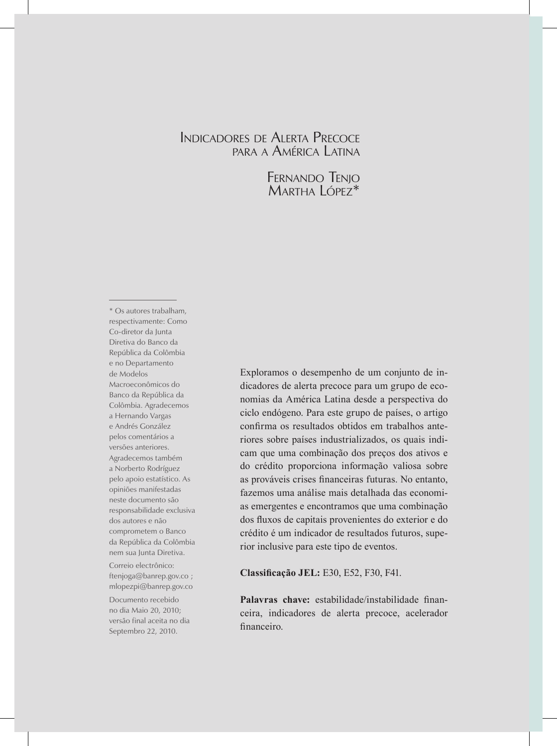# Indicadores de Alerta Precoce para <sup>a</sup> América Latina

Fernando Tenjo MARTHA LÓPEZ<sup>\*</sup>

\* Os autores trabalham, respectivamente: Como Co-diretor da Junta Diretiva do Banco da República da Colômbia e no Departamento de Modelos Macroeconômicos do Banco da República da Colômbia. Agradecemos a Hernando Vargas e Andrés González pelos comentários a versões anteriores. Agradecemos também a Norberto Rodríguez pelo apoio estatístico. As opiniões manifestadas neste documento são responsabilidade exclusiva dos autores e não comprometem o Banco da República da Colômbia nem sua Junta Diretiva.

Correio electrônico: ftenjoga@banrep.gov.co ; mlopezpi@banrep.gov.co

Documento recebido no dia Maio 20, 2010; versão final aceita no dia Septembro 22, 2010.

Exploramos o desempenho de um conjunto de indicadores de alerta precoce para um grupo de economias da América Latina desde a perspectiva do ciclo endógeno. Para este grupo de países, o artigo confirma os resultados obtidos em trabalhos anteriores sobre países industrializados, os quais indicam que uma combinação dos preços dos ativos e do crédito proporciona informação valiosa sobre as prováveis crises financeiras futuras. No entanto, fazemos uma análise mais detalhada das economias emergentes e encontramos que uma combinação dos fluxos de capitais provenientes do exterior e do crédito é um indicador de resultados futuros, superior inclusive para este tipo de eventos.

**Classificação JEL:** E30, E52, F30, F41.

**Palavras chave:** estabilidade/instabilidade financeira, indicadores de alerta precoce, acelerador financeiro.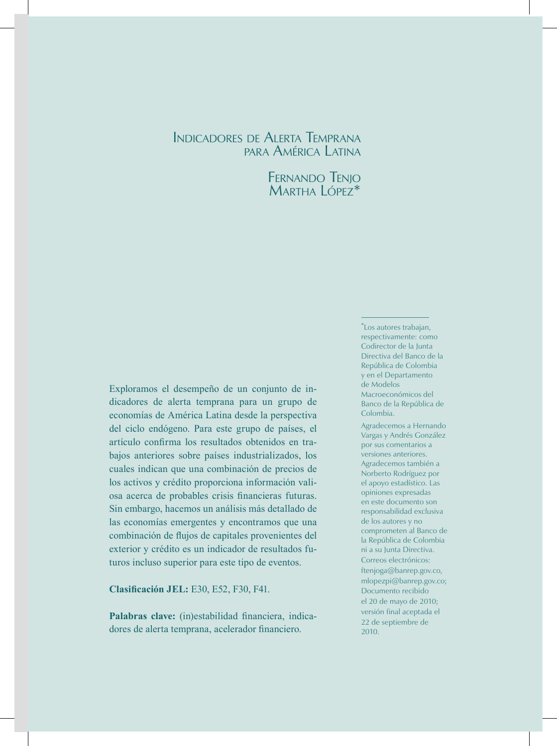# Indicadores de Alerta Temprana para América Latina

Fernando Tenjo MARTHA LÓPEZ<sup>\*</sup>

Exploramos el desempeño de un conjunto de indicadores de alerta temprana para un grupo de economías de América Latina desde la perspectiva del ciclo endógeno. Para este grupo de países, el artículo confirma los resultados obtenidos en trabajos anteriores sobre países industrializados, los cuales indican que una combinación de precios de los activos y crédito proporciona información valiosa acerca de probables crisis financieras futuras. Sin embargo, hacemos un análisis más detallado de las economías emergentes y encontramos que una combinación de flujos de capitales provenientes del exterior y crédito es un indicador de resultados futuros incluso superior para este tipo de eventos.

**Clasificación JEL:** E30, E52, F30, F41.

Palabras clave: (in)estabilidad financiera, indicadores de alerta temprana, acelerador financiero.

\* Los autores trabajan, respectivamente: como Codirector de la Junta Directiva del Banco de la República de Colombia y en el Departamento de Modelos Macroeconómicos del Banco de la República de Colombia.

Agradecemos a Hernando Vargas y Andrés González por sus comentarios a versiones anteriores. Agradecemos también a Norberto Rodríguez por el apoyo estadístico. Las opiniones expresadas en este documento son responsabilidad exclusiva de los autores y no comprometen al Banco de la República de Colombia ni a su Junta Directiva. Correos electrónicos: ftenjoga@banrep.gov.co, mlopezpi@banrep.gov.co; Documento recibido el 20 de mayo de 2010; versión final aceptada el 22 de septiembre de 2010.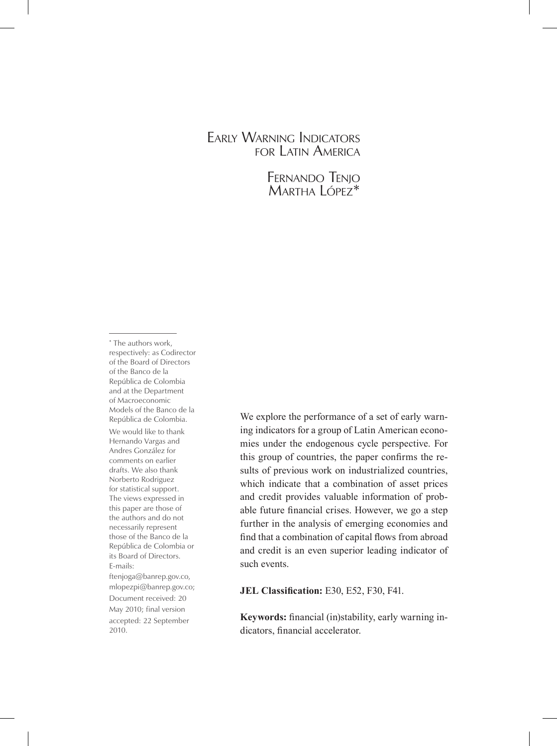# Early Warning Indicators for Latin America

Fernando Tenjo Martha López\*

\* The authors work, respectively: as Codirector of the Board of Directors of the Banco de la República de Colombia and at the Department of Macroeconomic Models of the Banco de la República de Colombia. We would like to thank Hernando Vargas and Andres González for comments on earlier drafts. We also thank Norberto Rodriguez for statistical support. The views expressed in this paper are those of the authors and do not necessarily represent those of the Banco de la República de Colombia or its Board of Directors. E-mails: ftenjoga@banrep.gov.co, mlopezpi@banrep.gov.co; Document received: 20 May 2010; final version accepted: 22 September 2010.

We explore the performance of a set of early warning indicators for a group of Latin American economies under the endogenous cycle perspective. For this group of countries, the paper confirms the results of previous work on industrialized countries, which indicate that a combination of asset prices and credit provides valuable information of probable future financial crises. However, we go a step further in the analysis of emerging economies and find that a combination of capital flows from abroad and credit is an even superior leading indicator of such events.

**JEL Classification:** E30, E52, F30, F41.

**Keywords:** financial (in)stability, early warning indicators, financial accelerator.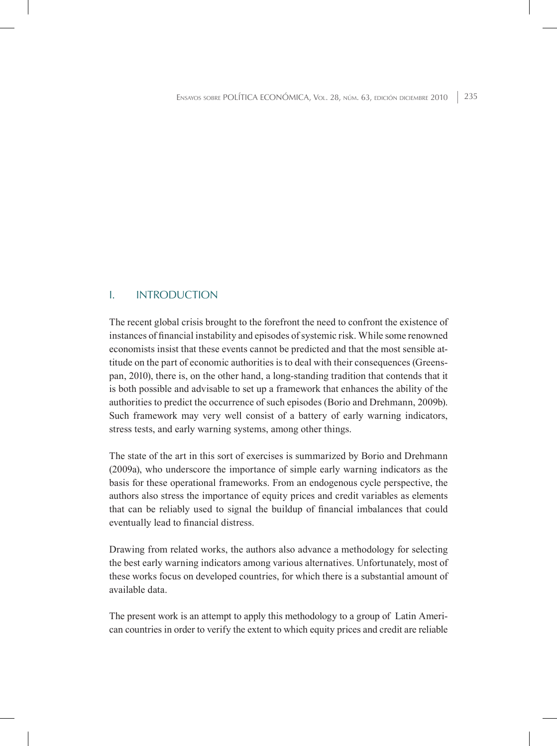# I. Introduction

The recent global crisis brought to the forefront the need to confront the existence of instances of financial instability and episodes of systemic risk. While some renowned economists insist that these events cannot be predicted and that the most sensible attitude on the part of economic authorities is to deal with their consequences (Greenspan, 2010), there is, on the other hand, a long-standing tradition that contends that it is both possible and advisable to set up a framework that enhances the ability of the authorities to predict the occurrence of such episodes (Borio and Drehmann, 2009b). Such framework may very well consist of a battery of early warning indicators, stress tests, and early warning systems, among other things.

The state of the art in this sort of exercises is summarized by Borio and Drehmann (2009a), who underscore the importance of simple early warning indicators as the basis for these operational frameworks. From an endogenous cycle perspective, the authors also stress the importance of equity prices and credit variables as elements that can be reliably used to signal the buildup of financial imbalances that could eventually lead to financial distress.

Drawing from related works, the authors also advance a methodology for selecting the best early warning indicators among various alternatives. Unfortunately, most of these works focus on developed countries, for which there is a substantial amount of available data.

The present work is an attempt to apply this methodology to a group of Latin American countries in order to verify the extent to which equity prices and credit are reliable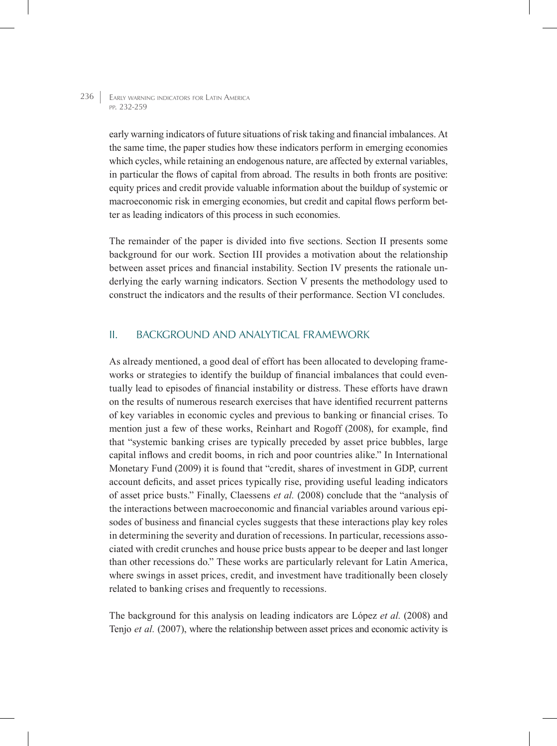> early warning indicators of future situations of risk taking and financial imbalances. At the same time, the paper studies how these indicators perform in emerging economies which cycles, while retaining an endogenous nature, are affected by external variables. in particular the flows of capital from abroad. The results in both fronts are positive: equity prices and credit provide valuable information about the buildup of systemic or macroeconomic risk in emerging economies, but credit and capital flows perform better as leading indicators of this process in such economies.

> The remainder of the paper is divided into five sections. Section II presents some background for our work. Section III provides a motivation about the relationship between asset prices and financial instability. Section IV presents the rationale underlying the early warning indicators. Section V presents the methodology used to construct the indicators and the results of their performance. Section VI concludes.

# II. Background and Analytical Framework

As already mentioned, a good deal of effort has been allocated to developing frameworks or strategies to identify the buildup of financial imbalances that could eventually lead to episodes of financial instability or distress. These efforts have drawn on the results of numerous research exercises that have identified recurrent patterns of key variables in economic cycles and previous to banking or financial crises. To mention just a few of these works, Reinhart and Rogoff (2008), for example, find that "systemic banking crises are typically preceded by asset price bubbles, large capital inflows and credit booms, in rich and poor countries alike." In International Monetary Fund (2009) it is found that "credit, shares of investment in GDP, current account deficits, and asset prices typically rise, providing useful leading indicators of asset price busts." Finally, Claessens *et al.* (2008) conclude that the "analysis of the interactions between macroeconomic and financial variables around various episodes of business and financial cycles suggests that these interactions play key roles in determining the severity and duration of recessions. In particular, recessions associated with credit crunches and house price busts appear to be deeper and last longer than other recessions do." These works are particularly relevant for Latin America, where swings in asset prices, credit, and investment have traditionally been closely related to banking crises and frequently to recessions.

The background for this analysis on leading indicators are López *et al.* (2008) and Tenjo *et al.* (2007), where the relationship between asset prices and economic activity is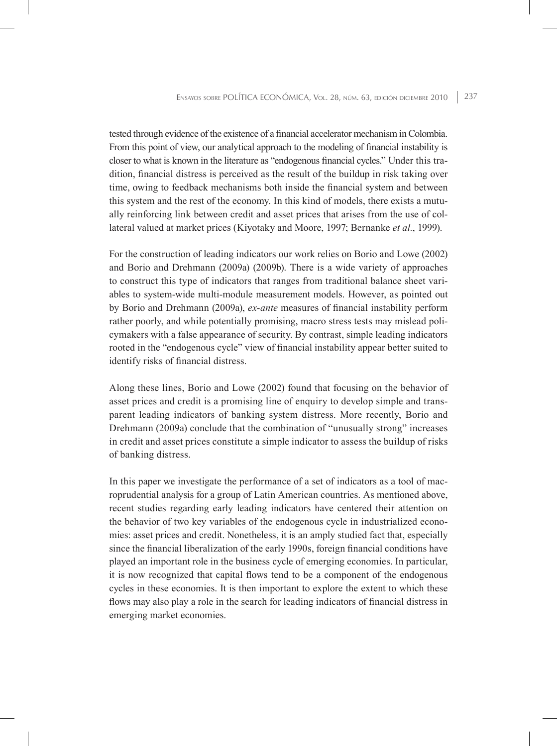tested through evidence of the existence of a financial accelerator mechanism in Colombia. From this point of view, our analytical approach to the modeling of financial instability is closer to what is known in the literature as "endogenous financial cycles." Under this tradition, financial distress is perceived as the result of the buildup in risk taking over time, owing to feedback mechanisms both inside the financial system and between this system and the rest of the economy. In this kind of models, there exists a mutually reinforcing link between credit and asset prices that arises from the use of collateral valued at market prices (Kiyotaky and Moore, 1997; Bernanke *et al.*, 1999).

For the construction of leading indicators our work relies on Borio and Lowe (2002) and Borio and Drehmann (2009a) (2009b). There is a wide variety of approaches to construct this type of indicators that ranges from traditional balance sheet variables to system-wide multi-module measurement models. However, as pointed out by Borio and Drehmann (2009a), *ex-ante* measures of financial instability perform rather poorly, and while potentially promising, macro stress tests may mislead policymakers with a false appearance of security. By contrast, simple leading indicators rooted in the "endogenous cycle" view of financial instability appear better suited to identify risks of financial distress.

Along these lines, Borio and Lowe (2002) found that focusing on the behavior of asset prices and credit is a promising line of enquiry to develop simple and transparent leading indicators of banking system distress. More recently, Borio and Drehmann (2009a) conclude that the combination of "unusually strong" increases in credit and asset prices constitute a simple indicator to assess the buildup of risks of banking distress.

In this paper we investigate the performance of a set of indicators as a tool of macroprudential analysis for a group of Latin American countries. As mentioned above, recent studies regarding early leading indicators have centered their attention on the behavior of two key variables of the endogenous cycle in industrialized economies: asset prices and credit. Nonetheless, it is an amply studied fact that, especially since the financial liberalization of the early 1990s, foreign financial conditions have played an important role in the business cycle of emerging economies. In particular, it is now recognized that capital flows tend to be a component of the endogenous cycles in these economies. It is then important to explore the extent to which these flows may also play a role in the search for leading indicators of financial distress in emerging market economies.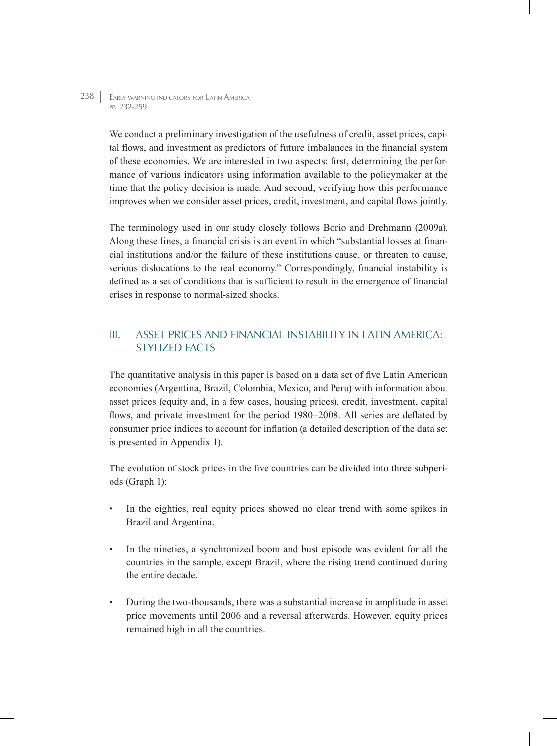> We conduct a preliminary investigation of the usefulness of credit, asset prices, capital flows, and investment as predictors of future imbalances in the financial system of these economies. We are interested in two aspects: first, determining the performance of various indicators using information available to the policymaker at the time that the policy decision is made. And second, verifying how this performance improves when we consider asset prices, credit, investment, and capital flows jointly.

> The terminology used in our study closely follows Borio and Drehmann (2009a). Along these lines, a financial crisis is an event in which "substantial losses at financial institutions and/or the failure of these institutions cause, or threaten to cause, serious dislocations to the real economy." Correspondingly, financial instability is defined as a set of conditions that is sufficient to result in the emergence of financial crises in response to normal-sized shocks.

# III. Asset prices and financial instability in Latin America: Stylized Facts

The quantitative analysis in this paper is based on a data set of five Latin American economies (Argentina, Brazil, Colombia, Mexico, and Peru) with information about asset prices (equity and, in a few cases, housing prices), credit, investment, capital flows, and private investment for the period 1980–2008. All series are deflated by consumer price indices to account for inflation (a detailed description of the data set is presented in Appendix 1).

The evolution of stock prices in the five countries can be divided into three subperiods (Graph 1):

- In the eighties, real equity prices showed no clear trend with some spikes in Brazil and Argentina.
- In the nineties, a synchronized boom and bust episode was evident for all the countries in the sample, except Brazil, where the rising trend continued during the entire decade.
- During the two-thousands, there was a substantial increase in amplitude in asset price movements until 2006 and a reversal afterwards. However, equity prices remained high in all the countries.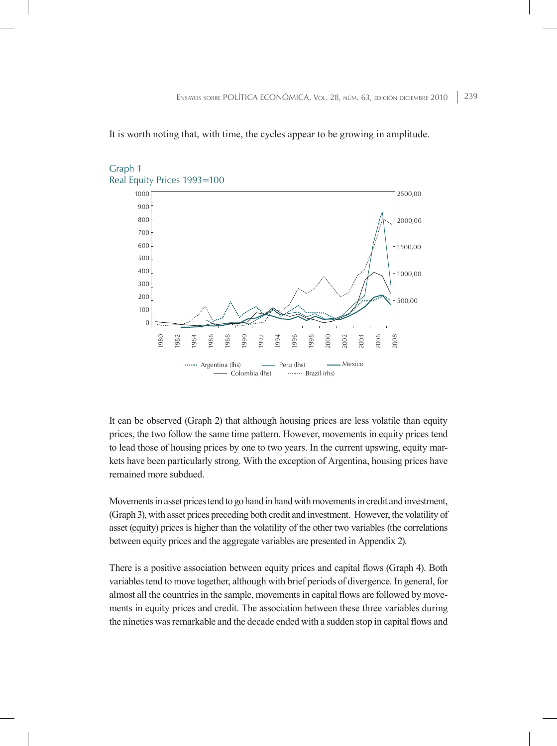It is worth noting that, with time, the cycles appear to be growing in amplitude.



#### Graph 1 Real Equity Prices 1993=100

It can be observed (Graph 2) that although housing prices are less volatile than equity prices, the two follow the same time pattern. However, movements in equity prices tend to lead those of housing prices by one to two years. In the current upswing, equity markets have been particularly strong. With the exception of Argentina, housing prices have remained more subdued.

Movements in asset prices tend to go hand in hand with movements in credit and investment, (Graph 3), with asset prices preceding both credit and investment. However, the volatility of asset (equity) prices is higher than the volatility of the other two variables (the correlations between equity prices and the aggregate variables are presented in Appendix 2).

There is a positive association between equity prices and capital flows (Graph 4). Both variables tend to move together, although with brief periods of divergence. In general, for almost all the countries in the sample, movements in capital flows are followed by movements in equity prices and credit. The association between these three variables during the nineties was remarkable and the decade ended with a sudden stop in capital flows and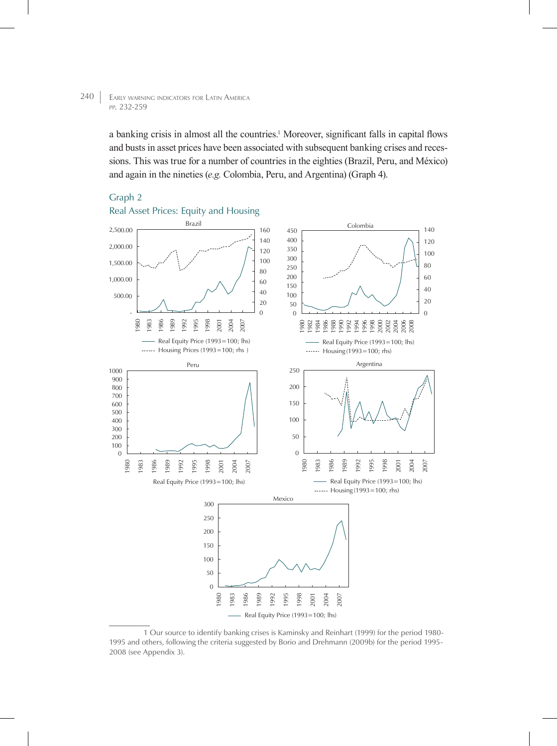a banking crisis in almost all the countries.<sup>1</sup> Moreover, significant falls in capital flows and busts in asset prices have been associated with subsequent banking crises and recessions. This was true for a number of countries in the eighties (Brazil, Peru, and México) and again in the nineties (*e.g.* Colombia, Peru, and Argentina) (Graph 4).

## Graph 2



## Real Asset Prices: Equity and Housing

<sup>1</sup> Our source to identify banking crises is Kaminsky and Reinhart (1999) for the period 1980- 1995 and others, following the criteria suggested by Borio and Drehmann (2009b) for the period 1995- 2008 (see Appendix 3).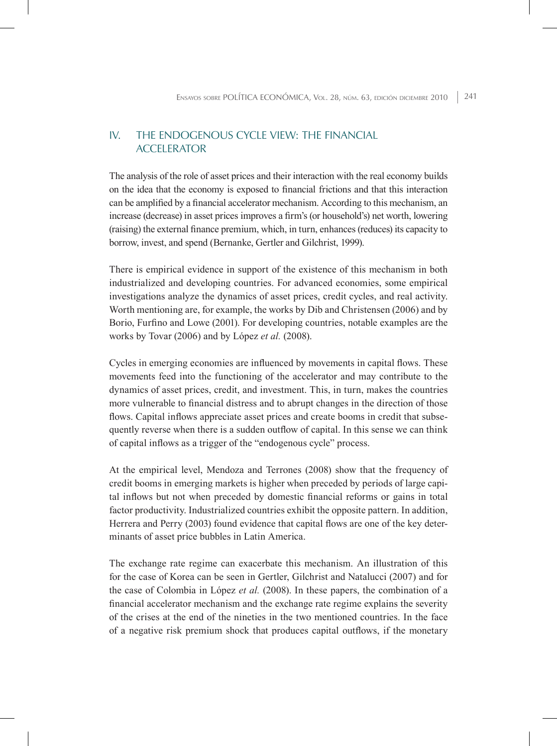# IV. The endogenous cycle view: The Financial **ACCELERATOR**

The analysis of the role of asset prices and their interaction with the real economy builds on the idea that the economy is exposed to financial frictions and that this interaction can be amplified by a financial accelerator mechanism. According to this mechanism, an increase (decrease) in asset prices improves a firm's (or household's) net worth, lowering (raising) the external finance premium, which, in turn, enhances (reduces) its capacity to borrow, invest, and spend (Bernanke, Gertler and Gilchrist, 1999).

There is empirical evidence in support of the existence of this mechanism in both industrialized and developing countries. For advanced economies, some empirical investigations analyze the dynamics of asset prices, credit cycles, and real activity. Worth mentioning are, for example, the works by Dib and Christensen (2006) and by Borio, Furfino and Lowe (2001). For developing countries, notable examples are the works by Tovar (2006) and by López *et al.* (2008).

Cycles in emerging economies are influenced by movements in capital flows. These movements feed into the functioning of the accelerator and may contribute to the dynamics of asset prices, credit, and investment. This, in turn, makes the countries more vulnerable to financial distress and to abrupt changes in the direction of those flows. Capital inflows appreciate asset prices and create booms in credit that subsequently reverse when there is a sudden outflow of capital. In this sense we can think of capital inflows as a trigger of the "endogenous cycle" process.

At the empirical level, Mendoza and Terrones (2008) show that the frequency of credit booms in emerging markets is higher when preceded by periods of large capital inflows but not when preceded by domestic financial reforms or gains in total factor productivity. Industrialized countries exhibit the opposite pattern. In addition, Herrera and Perry (2003) found evidence that capital flows are one of the key determinants of asset price bubbles in Latin America.

The exchange rate regime can exacerbate this mechanism. An illustration of this for the case of Korea can be seen in Gertler, Gilchrist and Natalucci (2007) and for the case of Colombia in López *et al.* (2008). In these papers, the combination of a financial accelerator mechanism and the exchange rate regime explains the severity of the crises at the end of the nineties in the two mentioned countries. In the face of a negative risk premium shock that produces capital outflows, if the monetary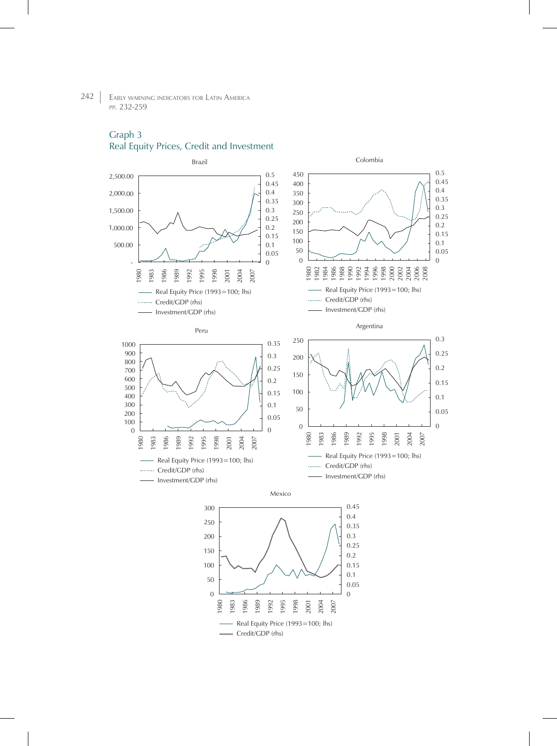# Graph 3

Real Equity Prices, Credit and Investment



Credit/GDP (rhs)

1980 1983 1986 1989 1992 1995 1998 2001 2004 2007

Real Equity Price (1993=100; lhs)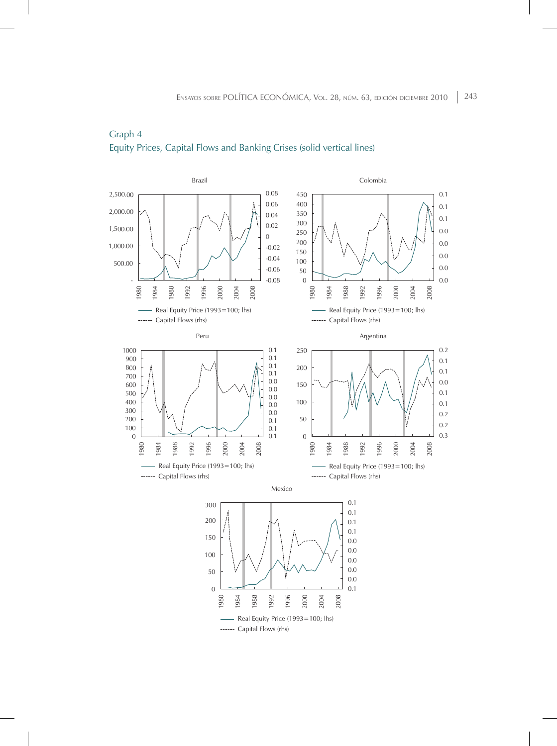

# Graph 4 Equity Prices, Capital Flows and Banking Crises (solid vertical lines)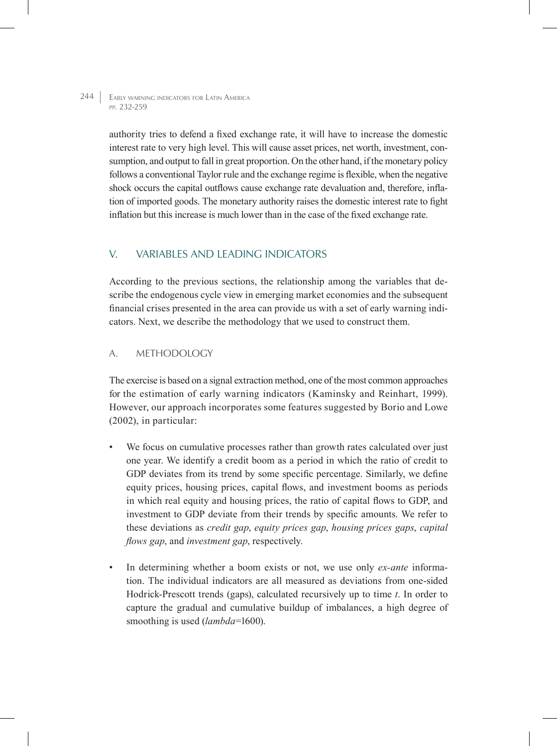> authority tries to defend a fixed exchange rate, it will have to increase the domestic interest rate to very high level. This will cause asset prices, net worth, investment, consumption, and output to fall in great proportion. On the other hand, if the monetary policy follows a conventional Taylor rule and the exchange regime is flexible, when the negative shock occurs the capital outflows cause exchange rate devaluation and, therefore, inflation of imported goods. The monetary authority raises the domestic interest rate to fight inflation but this increase is much lower than in the case of the fixed exchange rate.

# V. Variables and Leading Indicators

According to the previous sections, the relationship among the variables that describe the endogenous cycle view in emerging market economies and the subsequent financial crises presented in the area can provide us with a set of early warning indicators. Next, we describe the methodology that we used to construct them.

# A. Methodology

The exercise is based on a signal extraction method, one of the most common approaches for the estimation of early warning indicators (Kaminsky and Reinhart, 1999). However, our approach incorporates some features suggested by Borio and Lowe (2002), in particular:

- We focus on cumulative processes rather than growth rates calculated over just one year. We identify a credit boom as a period in which the ratio of credit to GDP deviates from its trend by some specific percentage. Similarly, we define equity prices, housing prices, capital flows, and investment booms as periods in which real equity and housing prices, the ratio of capital flows to GDP, and investment to GDP deviate from their trends by specific amounts. We refer to these deviations as *credit gap*, *equity prices gap*, *housing prices gaps*, *capital flows gap*, and *investment gap*, respectively.
- In determining whether a boom exists or not, we use only *ex-ante* information. The individual indicators are all measured as deviations from one-sided Hodrick-Prescott trends (gaps), calculated recursively up to time *t*. In order to capture the gradual and cumulative buildup of imbalances, a high degree of smoothing is used (*lambda*=1600).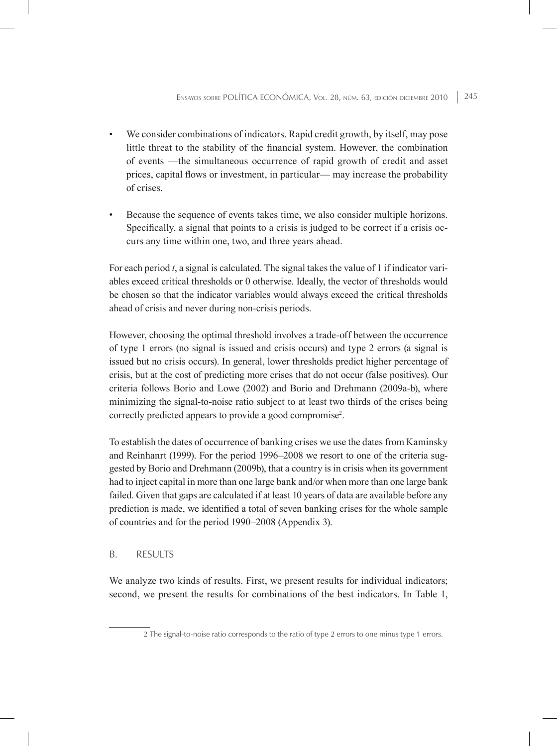- We consider combinations of indicators. Rapid credit growth, by itself, may pose little threat to the stability of the financial system. However, the combination of events —the simultaneous occurrence of rapid growth of credit and asset prices, capital flows or investment, in particular— may increase the probability of crises.
- Because the sequence of events takes time, we also consider multiple horizons. Specifically, a signal that points to a crisis is judged to be correct if a crisis occurs any time within one, two, and three years ahead.

For each period *t*, a signal is calculated. The signal takes the value of 1 if indicator variables exceed critical thresholds or 0 otherwise. Ideally, the vector of thresholds would be chosen so that the indicator variables would always exceed the critical thresholds ahead of crisis and never during non-crisis periods.

However, choosing the optimal threshold involves a trade-off between the occurrence of type 1 errors (no signal is issued and crisis occurs) and type 2 errors (a signal is issued but no crisis occurs). In general, lower thresholds predict higher percentage of crisis, but at the cost of predicting more crises that do not occur (false positives). Our criteria follows Borio and Lowe (2002) and Borio and Drehmann (2009a-b), where minimizing the signal-to-noise ratio subject to at least two thirds of the crises being correctly predicted appears to provide a good compromise<sup>2</sup>.

To establish the dates of occurrence of banking crises we use the dates from Kaminsky and Reinhanrt (1999). For the period 1996–2008 we resort to one of the criteria suggested by Borio and Drehmann (2009b), that a country is in crisis when its government had to inject capital in more than one large bank and/or when more than one large bank failed. Given that gaps are calculated if at least 10 years of data are available before any prediction is made, we identified a total of seven banking crises for the whole sample of countries and for the period 1990–2008 (Appendix 3).

#### B. Results

We analyze two kinds of results. First, we present results for individual indicators; second, we present the results for combinations of the best indicators. In Table 1,

<sup>2</sup> The signal-to-noise ratio corresponds to the ratio of type 2 errors to one minus type 1 errors.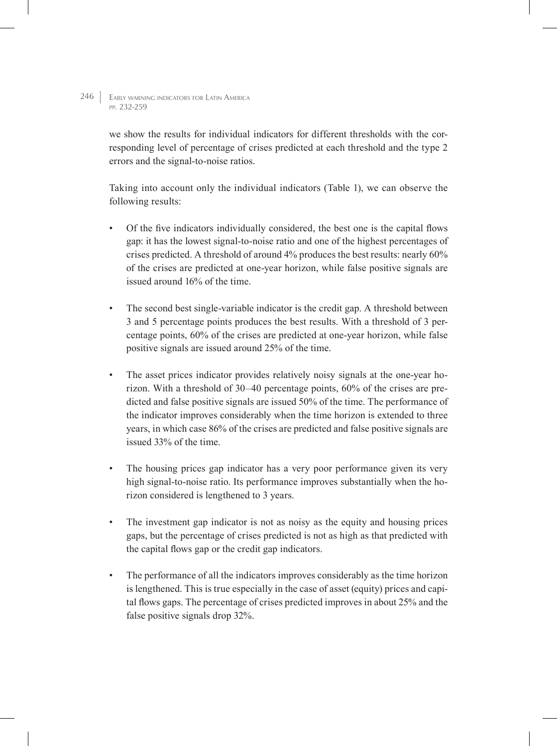> we show the results for individual indicators for different thresholds with the corresponding level of percentage of crises predicted at each threshold and the type 2 errors and the signal-to-noise ratios.

> Taking into account only the individual indicators (Table 1), we can observe the following results:

- Of the five indicators individually considered, the best one is the capital flows gap: it has the lowest signal-to-noise ratio and one of the highest percentages of crises predicted. A threshold of around 4% produces the best results: nearly 60% of the crises are predicted at one-year horizon, while false positive signals are issued around 16% of the time.
- The second best single-variable indicator is the credit gap. A threshold between 3 and 5 percentage points produces the best results. With a threshold of 3 percentage points, 60% of the crises are predicted at one-year horizon, while false positive signals are issued around 25% of the time.
- The asset prices indicator provides relatively noisy signals at the one-year horizon. With a threshold of 30–40 percentage points, 60% of the crises are predicted and false positive signals are issued 50% of the time. The performance of the indicator improves considerably when the time horizon is extended to three years, in which case 86% of the crises are predicted and false positive signals are issued 33% of the time.
- The housing prices gap indicator has a very poor performance given its very high signal-to-noise ratio. Its performance improves substantially when the horizon considered is lengthened to 3 years.
- The investment gap indicator is not as noisy as the equity and housing prices gaps, but the percentage of crises predicted is not as high as that predicted with the capital flows gap or the credit gap indicators.
- The performance of all the indicators improves considerably as the time horizon is lengthened. This is true especially in the case of asset (equity) prices and capital flows gaps. The percentage of crises predicted improves in about 25% and the false positive signals drop 32%.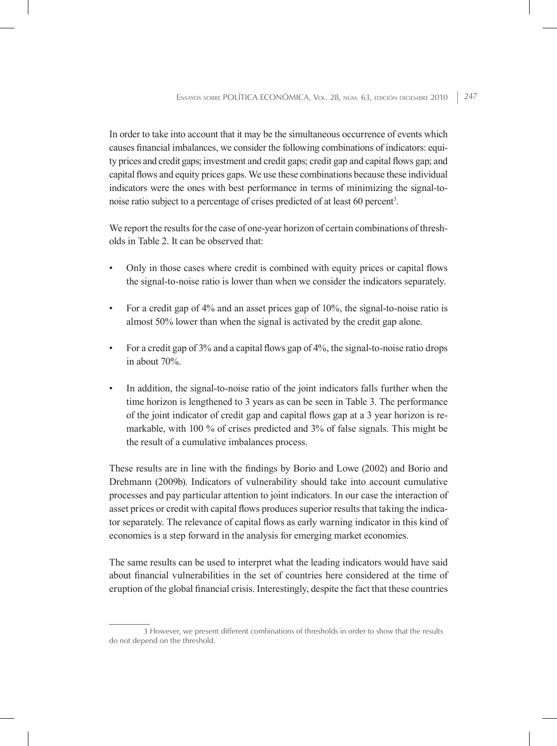In order to take into account that it may be the simultaneous occurrence of events which causes financial imbalances, we consider the following combinations of indicators: equity prices and credit gaps; investment and credit gaps; credit gap and capital flows gap; and capital flows and equity prices gaps. We use these combinations because these individual indicators were the ones with best performance in terms of minimizing the signal-tonoise ratio subject to a percentage of crises predicted of at least 60 percent<sup>3</sup>.

We report the results for the case of one-year horizon of certain combinations of thresholds in Table 2. It can be observed that:

- Only in those cases where credit is combined with equity prices or capital flows the signal-to-noise ratio is lower than when we consider the indicators separately.
- For a credit gap of 4% and an asset prices gap of 10%, the signal-to-noise ratio is almost 50% lower than when the signal is activated by the credit gap alone.
- For a credit gap of 3% and a capital flows gap of 4%, the signal-to-noise ratio drops in about 70%.
- In addition, the signal-to-noise ratio of the joint indicators falls further when the time horizon is lengthened to 3 years as can be seen in Table 3. The performance of the joint indicator of credit gap and capital flows gap at a 3 year horizon is remarkable, with 100 % of crises predicted and 3% of false signals. This might be the result of a cumulative imbalances process.

These results are in line with the findings by Borio and Lowe (2002) and Borio and Drehmann (2009b). Indicators of vulnerability should take into account cumulative processes and pay particular attention to joint indicators. In our case the interaction of asset prices or credit with capital flows produces superior results that taking the indicator separately. The relevance of capital flows as early warning indicator in this kind of economies is a step forward in the analysis for emerging market economies.

The same results can be used to interpret what the leading indicators would have said about financial vulnerabilities in the set of countries here considered at the time of eruption of the global financial crisis. Interestingly, despite the fact that these countries

<sup>3</sup> However, we present different combinations of thresholds in order to show that the results do not depend on the threshold.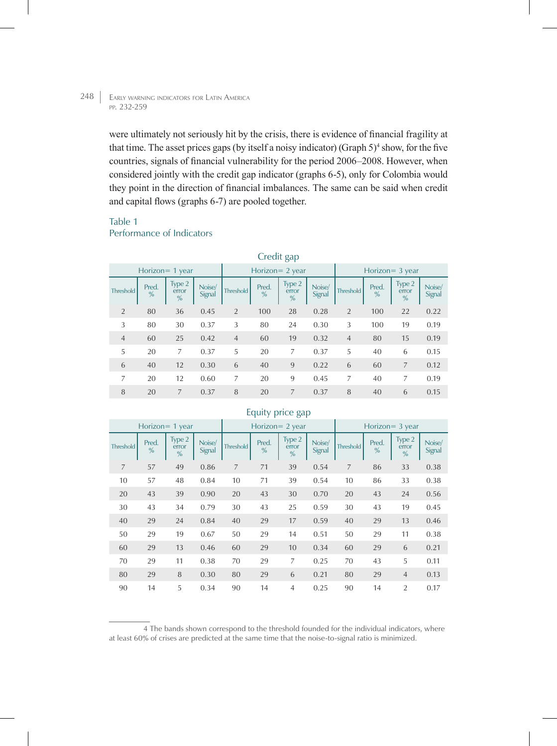were ultimately not seriously hit by the crisis, there is evidence of financial fragility at that time. The asset prices gaps (by itself a noisy indicator) (Graph  $5$ )<sup>4</sup> show, for the five countries, signals of financial vulnerability for the period 2006–2008. However, when considered jointly with the credit gap indicator (graphs 6-5), only for Colombia would they point in the direction of financial imbalances. The same can be said when credit and capital flows (graphs 6-7) are pooled together.

# Table 1

# Performance of Indicators

|                  | Credit gap             |                                  |                  |                    |                        |                                  |                  |                    |                        |                                  |                  |
|------------------|------------------------|----------------------------------|------------------|--------------------|------------------------|----------------------------------|------------------|--------------------|------------------------|----------------------------------|------------------|
|                  |                        | Horizon = 1 year                 |                  | Horizon = $2$ year |                        |                                  |                  | Horizon $=$ 3 year |                        |                                  |                  |
| <b>Threshold</b> | Pred.<br>$\frac{0}{0}$ | Type 2<br>error<br>$\frac{0}{0}$ | Noise/<br>Signal | Threshold          | Pred.<br>$\frac{0}{0}$ | Type 2<br>error<br>$\frac{9}{6}$ | Noise/<br>Signal | <b>Threshold</b>   | Pred.<br>$\frac{0}{0}$ | Type 2<br>error<br>$\frac{9}{6}$ | Noise/<br>Signal |
| 2                | 80                     | 36                               | 0.45             | $\overline{2}$     | 100                    | 28                               | 0.28             | 2                  | 100                    | 22                               | 0.22             |
| 3                | 80                     | 30                               | 0.37             | 3                  | 80                     | 24                               | 0.30             | 3                  | 100                    | 19                               | 0.19             |
| $\overline{4}$   | 60                     | 25                               | 0.42             | $\overline{4}$     | 60                     | 19                               | 0.32             | $\overline{4}$     | 80                     | 15                               | 0.19             |
| 5                | 20                     | 7                                | 0.37             | 5                  | 20                     | 7                                | 0.37             | 5                  | 40                     | 6                                | 0.15             |
| 6                | 40                     | 12                               | 0.30             | 6                  | 40                     | 9                                | 0.22             | 6                  | 60                     | $\overline{7}$                   | 0.12             |
| 7                | 20                     | 12                               | 0.60             | 7                  | 20                     | 9                                | 0.45             | 7                  | 40                     | 7                                | 0.19             |
| 8                | 20                     | 7                                | 0.37             | 8                  | 20                     | 7                                | 0.37             | 8                  | 40                     | 6                                | 0.15             |

#### Horizon= 1 year Horizon= 2 year Horizon= 3 year Threshold Pred.  $\frac{9}{6}$ Type 2 error  $\frac{0}{0}$ Noise/<br>Signal Threshold Pred. % Type 2 error % Noise/<br>Signal Threshold Pred. % Type 2 error % Noise/ **Signal** 7 57 49 0.86 7 71 39 0.54 7 86 33 0.38 10 57 48 0.84 10 71 39 0.54 10 86 33 0.38 20 43 39 0.90 20 43 30 0.70 20 43 24 0.56 30 43 34 0.79 30 43 25 0.59 30 43 19 0.45 40 29 24 0.84 40 29 17 0.59 40 29 13 0.46 50 29 19 0.67 50 29 14 0.51 50 29 11 0.38 60 29 13 0.46 60 29 10 0.34 60 29 6 0.21 70 29 11 0.38 70 29 7 0.25 70 43 5 0.11 80 29 8 0.30 80 29 6 0.21 80 29 4 0.13 90 14 5 0.34 90 14 4 0.25 90 14 2 0.17

# Equity price gap

4 The bands shown correspond to the threshold founded for the individual indicators, where at least 60% of crises are predicted at the same time that the noise-to-signal ratio is minimized.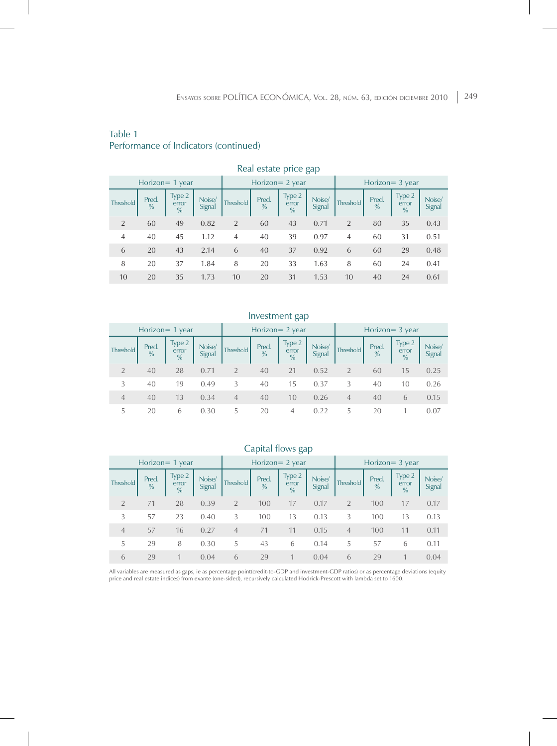# Table 1 Performance of Indicators (continued)

|                 | rical colate price gap |            |                                  |                  |                  |            |                                  |                    |                |                        |                                  |                  |
|-----------------|------------------------|------------|----------------------------------|------------------|------------------|------------|----------------------------------|--------------------|----------------|------------------------|----------------------------------|------------------|
| Horizon= 1 year |                        |            |                                  | Horizon= 2 year  |                  |            |                                  | Horizon = $3$ year |                |                        |                                  |                  |
|                 | <b>Threshold</b>       | Pred.<br>% | Type 2<br>error<br>$\frac{0}{0}$ | Noise/<br>Signal | <b>Threshold</b> | Pred.<br>% | Type 2<br>error<br>$\frac{9}{6}$ | Noise/<br>Signal   | Threshold      | Pred.<br>$\frac{9}{6}$ | Type 2<br>error<br>$\frac{0}{0}$ | Noise/<br>Signal |
|                 | $\overline{2}$         | 60         | 49                               | 0.82             | $\overline{2}$   | 60         | 43                               | 0.71               | 2              | 80                     | 35                               | 0.43             |
|                 | $\overline{4}$         | 40         | 45                               | 1.12             | $\overline{4}$   | 40         | 39                               | 0.97               | $\overline{4}$ | 60                     | 31                               | 0.51             |
|                 | 6                      | 20         | 43                               | 2.14             | 6                | 40         | 37                               | 0.92               | 6              | 60                     | 29                               | 0.48             |
|                 | 8                      | 20         | 37                               | 1.84             | 8                | 20         | 33                               | 1.63               | 8              | 60                     | 24                               | 0.41             |
|                 | 10                     | 20         | 35                               | 1.73             | 10               | 20         | 31                               | 1.53               | 10             | 40                     | 24                               | 0.61             |

#### Real estate price gap

## Investment gap

|                  |                        | Horizon $=$ 1 year               |                  |                | Horizon $= 2$ year |                                  |                  | Horizon $=$ 3 year |                        |                                  |                  |  |  |
|------------------|------------------------|----------------------------------|------------------|----------------|--------------------|----------------------------------|------------------|--------------------|------------------------|----------------------------------|------------------|--|--|
| <b>Threshold</b> | Pred.<br>$\frac{0}{0}$ | Type 2<br>error<br>$\frac{0}{0}$ | Noise/<br>Signal | Threshold      | Pred.<br>%         | Type 2<br>error<br>$\frac{0}{0}$ | Noise/<br>Signal | <b>Threshold</b>   | Pred.<br>$\frac{9}{6}$ | Type 2<br>error<br>$\frac{0}{0}$ | Noise/<br>Signal |  |  |
|                  | 40                     | 28                               | 0.71             | $\overline{2}$ | 40                 | 21                               | 0.52             | $\mathfrak{D}$     | 60                     | 15                               | 0.25             |  |  |
| 3                | 40                     | 19                               | 0.49             | 3              | 40                 | 15                               | 0.37             | 3                  | 40                     | 10                               | 0.26             |  |  |
| $\overline{4}$   | 40                     | 13                               | 0.34             | $\overline{4}$ | 40                 | 10                               | 0.26             | $\overline{4}$     | 40                     | 6                                | 0.15             |  |  |
| 5                | 20                     | 6                                | 0.30             | 5              | 20                 | 4                                | በ 22             | 5                  | 20                     |                                  | 0.07             |  |  |

# Capital flows gap

|                  |                        | Horizon $=$ 1 year               |                  | Horizon $= 2$ year |            |                                  | Horizon $=$ 3 year |                |                        |                                  |                  |
|------------------|------------------------|----------------------------------|------------------|--------------------|------------|----------------------------------|--------------------|----------------|------------------------|----------------------------------|------------------|
| <b>Threshold</b> | Pred.<br>$\frac{0}{0}$ | Type 2<br>error<br>$\frac{0}{0}$ | Noise/<br>Signal | <b>Threshold</b>   | Pred.<br>% | Type 2<br>error<br>$\frac{9}{6}$ | Noise/<br>Signal   | Threshold      | Pred.<br>$\frac{0}{0}$ | Type 2<br>error<br>$\frac{9}{6}$ | Noise/<br>Signal |
| $\mathcal{P}$    | 71                     | 28                               | 0.39             | $\overline{2}$     | 100        | 17                               | 0.17               | $\overline{2}$ | 100                    | 17                               | 0.17             |
| 3                | 57                     | 23                               | 0.40             | 3                  | 100        | 13                               | 0.13               | 3              | 100                    | 13                               | 0.13             |
| $\overline{4}$   | 57                     | 16                               | 0.27             | $\overline{4}$     | 71         | 11                               | 0.15               | $\overline{4}$ | 100                    | 11                               | 0.11             |
| 5                | 29                     | 8                                | 0.30             | 5                  | 43         | 6                                | 0.14               | 5.             | 57                     | 6                                | 0.11             |
| 6                | 79                     |                                  | 0.04             | 6                  | 29         |                                  | 0.04               | 6              | 29                     |                                  | 0.04             |

All variables are measured as gaps, ie as percentage point(credit-to-GDP and investment-GDP ratios) or as percentage deviations (equity<br>price and real estate indices) from exante (one-sided), recursively calculated Hodrick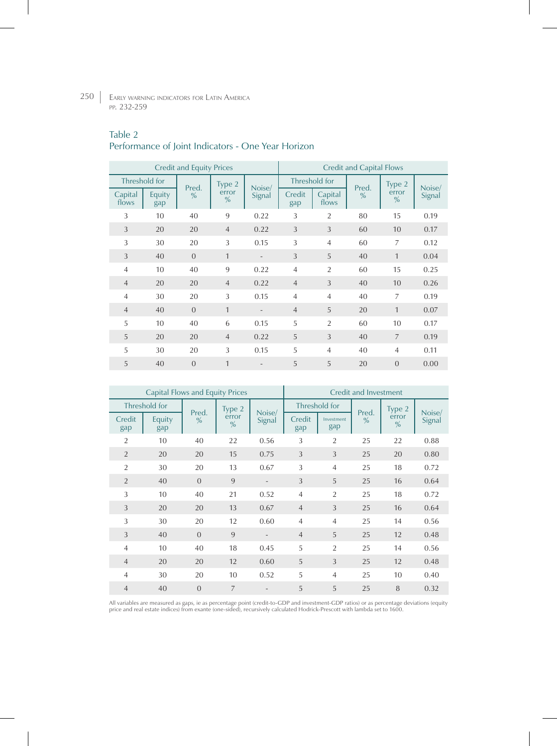# Table 2

# Performance of Joint Indicators - One Year Horizon

|                  |               | <b>Credit and Equity Prices</b> |                        |                   | <b>Credit and Capital Flows</b> |                  |               |                        |        |  |
|------------------|---------------|---------------------------------|------------------------|-------------------|---------------------------------|------------------|---------------|------------------------|--------|--|
| Threshold for    |               | Pred.                           | Type 2                 | Noise/            |                                 | Threshold for    | Pred.         | Type 2                 | Noise/ |  |
| Capital<br>flows | Equity<br>gap | $\frac{9}{6}$                   | error<br>$\frac{0}{0}$ | Signal            | Credit<br>gap                   | Capital<br>flows | $\frac{0}{0}$ | error<br>$\frac{9}{6}$ | Signal |  |
| 3                | 10            | 40                              | 9                      | 0.22              | 3                               | $\overline{2}$   | 80            | 15                     | 0.19   |  |
| 3                | 20            | 20                              | $\overline{4}$         | 0.22              | 3                               | 3                | 60            | 10                     | 0.17   |  |
| 3                | 30            | 20                              | 3                      | 0.15              | 3                               | $\overline{4}$   | 60            | 7                      | 0.12   |  |
| 3                | 40            | $\Omega$                        | $\mathbf{1}$           | $\qquad \qquad =$ | 3                               | $\overline{5}$   | 40            | $\mathbf{1}$           | 0.04   |  |
| $\overline{4}$   | 10            | 40                              | 9                      | 0.22              | $\overline{4}$                  | $\overline{2}$   | 60            | 15                     | 0.25   |  |
| $\overline{4}$   | 20            | 20                              | $\overline{4}$         | 0.22              | $\overline{4}$                  | 3                | 40            | 10                     | 0.26   |  |
| $\overline{4}$   | 30            | 20                              | 3                      | 0.15              | $\overline{4}$                  | $\overline{4}$   | 40            | $\overline{7}$         | 0.19   |  |
| $\overline{4}$   | 40            | $\overline{0}$                  | $\mathbf{1}$           |                   | $\overline{4}$                  | 5                | 20            | $\mathbf{1}$           | 0.07   |  |
| 5                | 10            | 40                              | 6                      | 0.15              | 5                               | $\overline{2}$   | 60            | 10                     | 0.17   |  |
| 5                | 20            | 20                              | $\overline{4}$         | 0.22              | 5                               | 3                | 40            | $\overline{7}$         | 0.19   |  |
| 5                | 30            | 20                              | 3                      | 0.15              | 5                               | $\overline{4}$   | 40            | 4                      | 0.11   |  |
| 5                | 40            | $\Omega$                        | $\mathbf{1}$           |                   | 5                               | 5                | 20            | $\Omega$               | 0.00   |  |

|                | <b>Capital Flows and Equity Prices</b> |                |                        | Credit and Investment    |                |                   |               |                        |        |
|----------------|----------------------------------------|----------------|------------------------|--------------------------|----------------|-------------------|---------------|------------------------|--------|
|                | Threshold for                          | Pred.          | Type 2                 | Noise/                   | Threshold for  |                   | Pred.         | Type 2                 | Noise/ |
| Credit<br>gap  | Equity<br>gap                          | $\frac{0}{0}$  | error<br>$\frac{0}{0}$ | Signal                   | Credit<br>gap  | Investment<br>gap | $\frac{0}{0}$ | error<br>$\frac{0}{0}$ | Signal |
| $\overline{2}$ | 10                                     | 40             | 22                     | 0.56                     | 3              | $\overline{2}$    | 25            | 22                     | 0.88   |
| $\overline{2}$ | 20                                     | 20             | 15                     | 0.75                     | 3              | 3                 | 25            | 20                     | 0.80   |
| $\overline{2}$ | 30                                     | 20             | 13                     | 0.67                     | 3              | $\overline{4}$    | 25            | 18                     | 0.72   |
| $\overline{2}$ | 40                                     | $\mathbf{0}$   | 9                      | $\overline{\phantom{a}}$ | 3              | 5                 | 25            | 16                     | 0.64   |
| 3              | 10                                     | 40             | 21                     | 0.52                     | $\overline{4}$ | $\overline{2}$    | 25            | 18                     | 0.72   |
| 3              | 20                                     | 20             | 13                     | 0.67                     | $\overline{4}$ | 3                 | 25            | 16                     | 0.64   |
| 3              | 30                                     | 20             | 12                     | 0.60                     | $\overline{4}$ | $\overline{4}$    | 25            | 14                     | 0.56   |
| 3              | 40                                     | $\Omega$       | 9                      |                          | $\overline{4}$ | 5                 | 25            | 12                     | 0.48   |
| $\overline{4}$ | 10                                     | 40             | 18                     | 0.45                     | 5              | $\overline{2}$    | 25            | 14                     | 0.56   |
| $\overline{4}$ | 20                                     | 20             | 12                     | 0.60                     | 5              | 3                 | 25            | 12                     | 0.48   |
| $\overline{4}$ | 30                                     | 20             | 10                     | 0.52                     | 5              | $\overline{4}$    | 25            | 10                     | 0.40   |
| $\overline{4}$ | 40                                     | $\overline{0}$ | $\overline{7}$         |                          | 5              | 5                 | 25            | 8                      | 0.32   |

All variables are measured as gaps, ie as percentage point (credit-to-GDP and investment-GDP ratios) or as percentage deviations (equity<br>price and real estate indices) from exante (one-sided), recursively calculated Hodric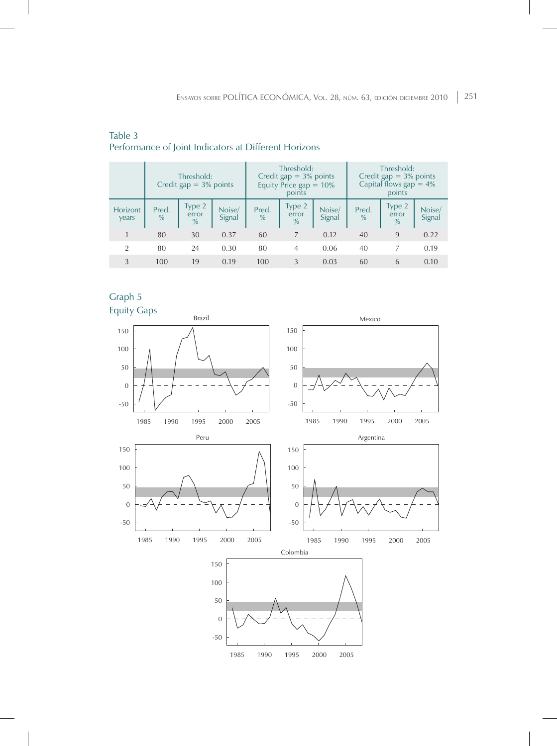|                   | Threshold:<br>Credit gap $= 3\%$ points |                                  |                  | Threshold:<br>Credit gap $= 3\%$ points<br>Equity Price gap $= 10\%$<br>points |                                  |                  | Threshold:<br>Credit gap $=$ 3% points<br>Capital flows $gap = 4\%$<br>points |                                  |                  |
|-------------------|-----------------------------------------|----------------------------------|------------------|--------------------------------------------------------------------------------|----------------------------------|------------------|-------------------------------------------------------------------------------|----------------------------------|------------------|
| Horizont<br>years | Pred.<br>$\%$                           | Type 2<br>error<br>$\frac{9}{6}$ | Noise/<br>Signal | Pred.<br>$\%$                                                                  | Type 2<br>error<br>$\frac{0}{0}$ | Noise/<br>Signal | Pred.<br>$\frac{9}{6}$                                                        | Type 2<br>error<br>$\frac{9}{6}$ | Noise/<br>Signal |
|                   | 80                                      | 30                               | 0.37             | 60                                                                             | 7                                | 0.12             | 40                                                                            | 9                                | 0.22             |
| $\mathcal{P}$     | 80                                      | 24                               | 0.30             | 80                                                                             | 4                                | 0.06             | 40                                                                            |                                  | 0.19             |
| 3                 | 100                                     | 19                               | 0.19             | 100                                                                            | 3                                | 0.03             | 60                                                                            | 6                                | 0.10             |

# Table 3 Performance of Joint Indicators at Different Horizons



![](_page_19_Figure_4.jpeg)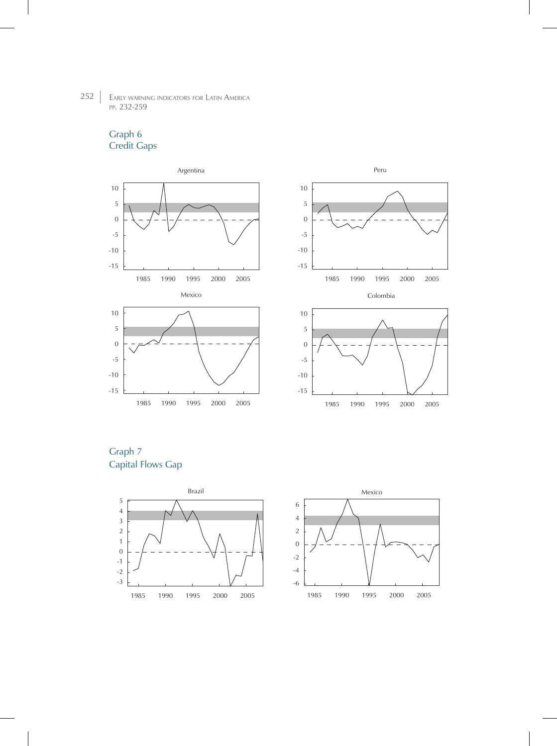# Graph 6 Credit Gaps

![](_page_20_Figure_2.jpeg)

![](_page_20_Figure_3.jpeg)

Graph 7 Capital Flows Gap

![](_page_20_Figure_5.jpeg)

![](_page_20_Figure_6.jpeg)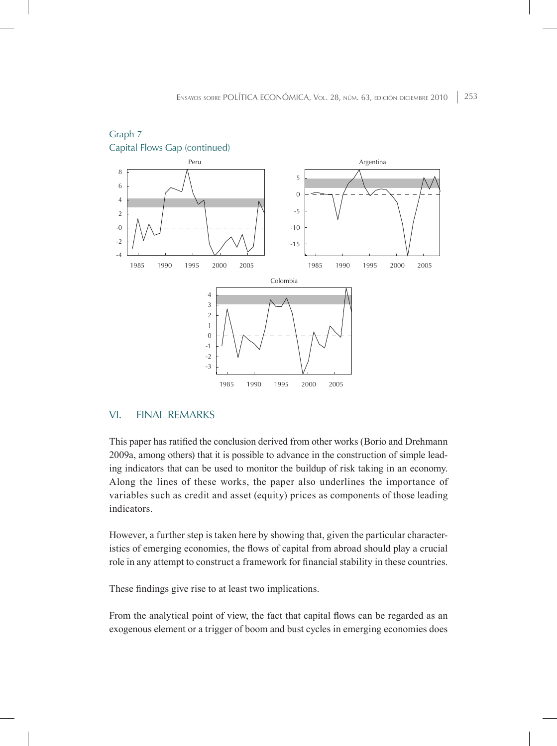![](_page_21_Figure_1.jpeg)

![](_page_21_Figure_2.jpeg)

# VI. Final remarks

This paper has ratified the conclusion derived from other works (Borio and Drehmann 2009a, among others) that it is possible to advance in the construction of simple leading indicators that can be used to monitor the buildup of risk taking in an economy. Along the lines of these works, the paper also underlines the importance of variables such as credit and asset (equity) prices as components of those leading indicators.

However, a further step is taken here by showing that, given the particular characteristics of emerging economies, the flows of capital from abroad should play a crucial role in any attempt to construct a framework for financial stability in these countries.

These findings give rise to at least two implications.

From the analytical point of view, the fact that capital flows can be regarded as an exogenous element or a trigger of boom and bust cycles in emerging economies does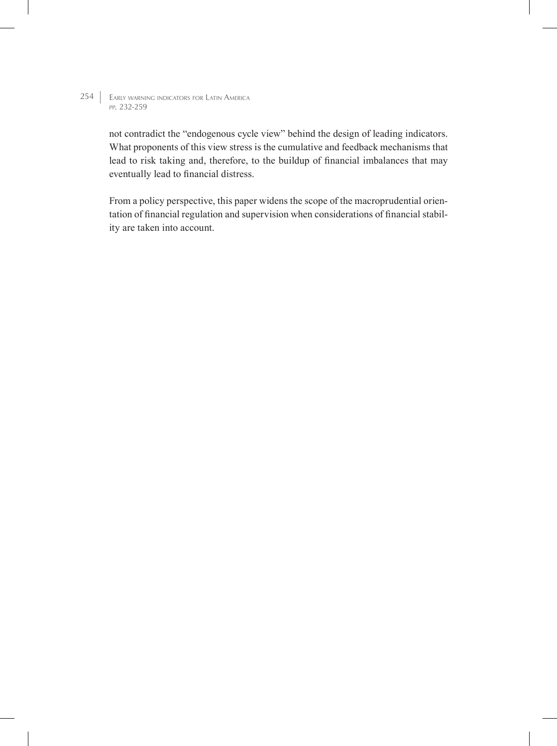> not contradict the "endogenous cycle view" behind the design of leading indicators. What proponents of this view stress is the cumulative and feedback mechanisms that lead to risk taking and, therefore, to the buildup of financial imbalances that may eventually lead to financial distress.

> From a policy perspective, this paper widens the scope of the macroprudential orientation of financial regulation and supervision when considerations of financial stability are taken into account.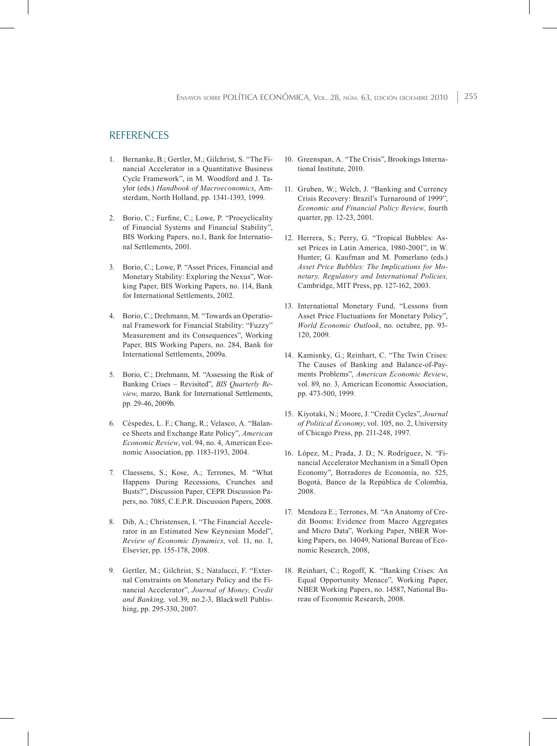## **REFERENCES**

- 1. Bernanke, B.; Gertler, M.; Gilchrist, S. "The Financial Accelerator in a Quantitative Business Cycle Framework", in M. Woodford and J. Taylor (eds.) *Handbook of Macroeconomics*, Amsterdam, North Holland, pp. 1341-1393, 1999.
- 2. Borio, C.; Furfine, C.; Lowe, P. "Procyclicality of Financial Systems and Financial Stability", BIS Working Papers, no.1, Bank for International Settlements, 2001.
- 3. Borio, C.; Lowe, P. "Asset Prices, Financial and Monetary Stability: Exploring the Nexus", Working Paper, BIS Working Papers, no. 114, Bank for International Settlements, 2002.
- 4. Borio, C.; Drehmann, M. "Towards an Operational Framework for Financial Stability: "Fuzzy" Measurement and its Consequences", Working Paper, BIS Working Papers, no. 284, Bank for International Settlements, 2009a.
- 5. Borio, C.; Drehmann, M. "Assessing the Risk of Banking Crises – Revisited", *BIS Quarterly Review*, marzo, Bank for International Settlements, pp. 29-46, 2009b.
- 6. Céspedes, L. F.; Chang, R.; Velasco, A. "Balance Sheets and Exchange Rate Policy", *American Economic Review*, vol. 94, no. 4, American Economic Association, pp. 1183-1193, 2004.
- 7. Claessens, S.; Kose, A.; Terrones, M. "What Happens During Recessions, Crunches and Busts?", Discussion Paper, CEPR Discussion Papers, no. 7085, C.E.P.R. Discussion Papers, 2008.
- 8. Dib, A.; Christensen, I. "The Financial Accelerator in an Estimated New Keynesian Model", *Review of Economic Dynamics*, vol. 11, no. 1, Elsevier, pp. 155-178, 2008.
- 9. Gertler, M.; Gilchrist, S.; Natalucci, F. "External Constraints on Monetary Policy and the Financial Accelerator", *Journal of Money, Credit and Banking,* vol.39, no.2-3, Blackwell Publishing, pp. 295-330, 2007.
- 10. Greenspan, A. "The Crisis", Brookings International Institute, 2010.
- 11. Gruben, W.; Welch, J. "Banking and Currency Crisis Recovery: Brazil's Turnaround of 1999", *Economic and Financial Policy Review,* fourth quarter, pp. 12-23, 2001.
- 12. Herrera, S.; Perry, G. "Tropical Bubbles: Asset Prices in Latin America, 1980-2001", in W. Hunter; G. Kaufman and M. Pomerlano (eds.) *Asset Price Bubbles: The Implications for Monetary, Regulatory and International Policies,* Cambridge, MIT Press, pp. 127-162, 2003.
- 13. International Monetary Fund, "Lessons from Asset Price Fluctuations for Monetary Policy", *World Economic Outlook*, no. octubre, pp. 93- 120, 2009.
- 14. Kamisnky, G.; Reinhart, C. "The Twin Crises: The Causes of Banking and Balance-of-Payments Problems", *American Economic Review*, vol. 89, no. 3, American Economic Association, pp. 473-500, 1999.
- 15. Kiyotaki, N.; Moore, J. "Credit Cycles", *Journal of Political Economy*, vol. 105, no. 2, University of Chicago Press, pp. 211-248, 1997.
- 16. López, M.; Prada, J. D.; N. Rodríguez, N. "Financial Accelerator Mechanism in a Small Open Economy", Borradores de Economía, no. 525, Bogotá, Banco de la República de Colombia, 2008.
- 17. Mendoza E.; Terrones, M. "An Anatomy of Credit Booms: Evidence from Macro Aggregates and Micro Data", Working Paper, NBER Working Papers, no. 14049, National Bureau of Economic Research, 2008,
- 18. Reinhart, C.; Rogoff, K. "Banking Crises: An Equal Opportunity Menace", Working Paper, NBER Working Papers, no. 14587, National Bureau of Economic Research, 2008.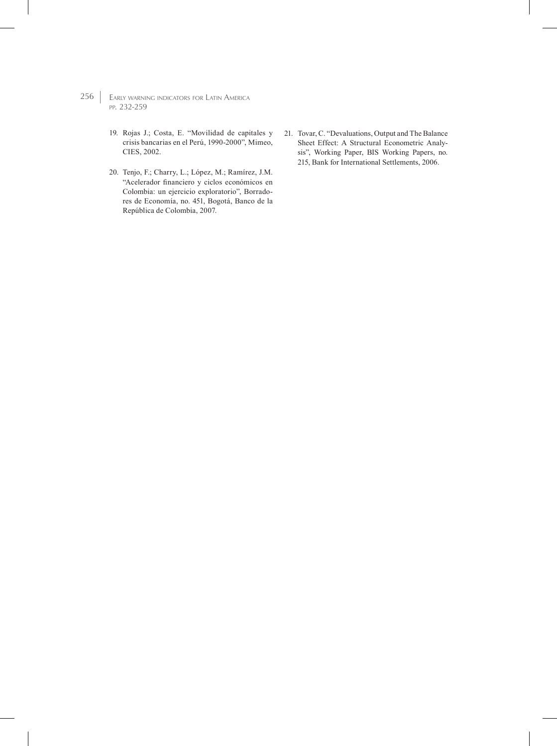- 256 | EARLY WARNING INDICATORS FOR LATIN AMERICA pp. 232-259
	- 19. Rojas J.; Costa, E. "Movilidad de capitales y crisis bancarias en el Perú, 1990-2000", Mimeo, CIES, 2002.
	- 20. Tenjo, F.; Charry, L.; López, M.; Ramírez, J.M. "Acelerador financiero y ciclos económicos en Colombia: un ejercicio exploratorio", Borradores de Economía, no. 451, Bogotá, Banco de la República de Colombia, 2007.
- 21. Tovar, C. "Devaluations, Output and The Balance Sheet Effect: A Structural Econometric Analysis", Working Paper, BIS Working Papers, no. 215, Bank for International Settlements, 2006.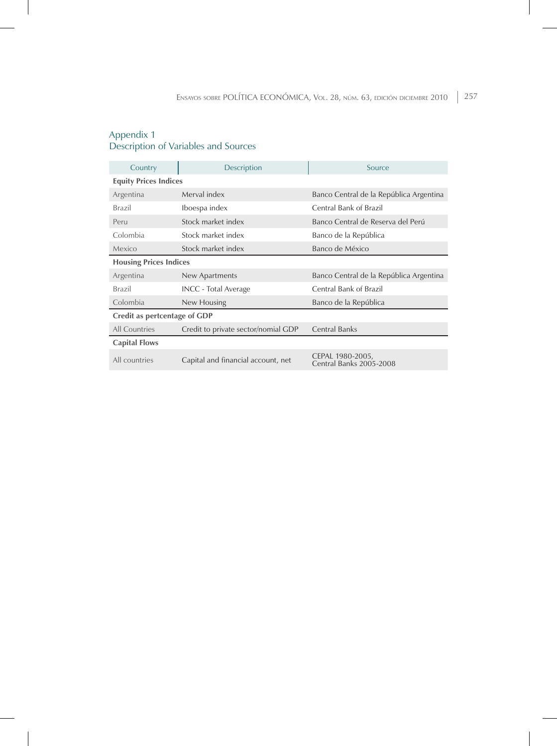#### Appendix 1 Description of Variables and Sources

| Country                       | Description                         | Source                                      |  |  |  |  |  |
|-------------------------------|-------------------------------------|---------------------------------------------|--|--|--|--|--|
| <b>Equity Prices Indices</b>  |                                     |                                             |  |  |  |  |  |
| Argentina                     | Merval index                        | Banco Central de la República Argentina     |  |  |  |  |  |
| Brazil                        | Iboespa index                       | Central Bank of Brazil                      |  |  |  |  |  |
| Peru                          | Stock market index                  | Banco Central de Reserva del Perú           |  |  |  |  |  |
| Colombia                      | Stock market index                  | Banco de la República                       |  |  |  |  |  |
| Mexico                        | Stock market index                  | Banco de México                             |  |  |  |  |  |
| <b>Housing Prices Indices</b> |                                     |                                             |  |  |  |  |  |
| Argentina                     | New Apartments                      | Banco Central de la República Argentina     |  |  |  |  |  |
| Brazil                        | <b>INCC</b> - Total Average         | Central Bank of Brazil                      |  |  |  |  |  |
| Colombia                      | New Housing                         | Banco de la República                       |  |  |  |  |  |
| Credit as pertcentage of GDP  |                                     |                                             |  |  |  |  |  |
| All Countries                 | Credit to private sector/nomial GDP | <b>Central Banks</b>                        |  |  |  |  |  |
| <b>Capital Flows</b>          |                                     |                                             |  |  |  |  |  |
| All countries                 | Capital and financial account, net  | CEPAL 1980-2005,<br>Central Banks 2005-2008 |  |  |  |  |  |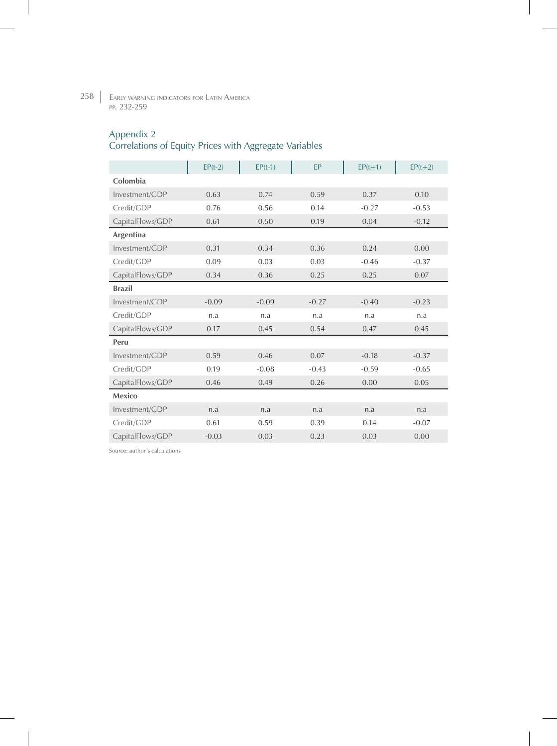258 Early warning indicators for Latin America pp. 232-259

# Appendix 2

# Correlations of Equity Prices with Aggregate Variables

|                  | $EP(t-2)$ | $EP(t-1)$ | <b>FP</b> | $EP(t+1)$ | $EP(t+2)$ |
|------------------|-----------|-----------|-----------|-----------|-----------|
| Colombia         |           |           |           |           |           |
| Investment/GDP   | 0.63      | 0.74      | 0.59      | 0.37      | 0.10      |
| Credit/GDP       | 0.76      | 0.56      | 0.14      | $-0.27$   | $-0.53$   |
| CapitalFlows/GDP | 0.61      | 0.50      | 0.19      | 0.04      | $-0.12$   |
| Argentina        |           |           |           |           |           |
| Investment/GDP   | 0.31      | 0.34      | 0.36      | 0.24      | 0.00      |
| Credit/GDP       | 0.09      | 0.03      | 0.03      | $-0.46$   | $-0.37$   |
| CapitalFlows/GDP | 0.34      | 0.36      | 0.25      | 0.25      | 0.07      |
| <b>Brazil</b>    |           |           |           |           |           |
| Investment/GDP   | $-0.09$   | $-0.09$   | $-0.27$   | $-0.40$   | $-0.23$   |
| Credit/GDP       | n.a       | n.a       | n.a       | n.a       | n.a       |
| CapitalFlows/GDP | 0.17      | 0.45      | 0.54      | 0.47      | 0.45      |
| Peru             |           |           |           |           |           |
| Investment/GDP   | 0.59      | 0.46      | 0.07      | $-0.18$   | $-0.37$   |
| Credit/GDP       | 0.19      | $-0.08$   | $-0.43$   | $-0.59$   | $-0.65$   |
| CapitalFlows/GDP | 0.46      | 0.49      | 0.26      | 0.00      | 0.05      |
| Mexico           |           |           |           |           |           |
| Investment/GDP   | n.a       | n.a       | n.a       | n.a       | n.a       |
| Credit/GDP       | 0.61      | 0.59      | 0.39      | 0.14      | $-0.07$   |
| CapitalFlows/GDP | $-0.03$   | 0.03      | 0.23      | 0.03      | 0.00      |

Source: author´s calculations

 $\overline{\phantom{a}}$